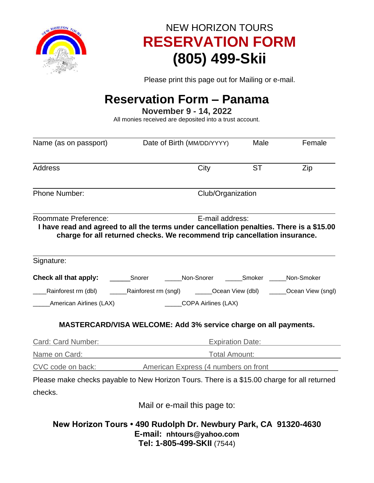

## NEW HORIZON TOURS **RESERVATION FORM (805) 499-Skii**

Please print this page out for Mailing or e-mail.

## **Reservation Form – Panama**

**November 9 - 14, 2022**

All monies received are deposited into a trust account.

| Name (as on passport)                     | Date of Birth (MM/DD/YYYY)                                                                                                                                                               | Male              | Female |  |
|-------------------------------------------|------------------------------------------------------------------------------------------------------------------------------------------------------------------------------------------|-------------------|--------|--|
| <b>Address</b>                            | City                                                                                                                                                                                     | <b>ST</b>         | Zip    |  |
| <b>Phone Number:</b>                      |                                                                                                                                                                                          | Club/Organization |        |  |
| Roommate Preference:                      | E-mail address:<br>I have read and agreed to all the terms under cancellation penalties. There is a \$15.00<br>charge for all returned checks. We recommend trip cancellation insurance. |                   |        |  |
| Signature:                                |                                                                                                                                                                                          |                   |        |  |
|                                           | Check all that apply: _________Snorer ________Non-Snorer _______Smoker ______Non-Smoker                                                                                                  |                   |        |  |
| Rainforest rm (dbl)                       | ______Rainforest rm (sngl) ________Ocean View (dbl) _______Ocean View (sngl)                                                                                                             |                   |        |  |
| <b>Example 21 American Airlines (LAX)</b> | COPA Airlines (LAX)                                                                                                                                                                      |                   |        |  |
|                                           | MASTERCARD/VISA WELCOME: Add 3% service charge on all payments.                                                                                                                          |                   |        |  |
| Card: Card Number:                        | Expiration Date:                                                                                                                                                                         |                   |        |  |
| Name on Card:                             | <b>Example 2018</b> Total Amount:                                                                                                                                                        |                   |        |  |
| CVC code on back:                         | <b>Express (4 numbers on front</b>                                                                                                                                                       |                   |        |  |
|                                           | Please make checks payable to New Horizon Tours. There is a \$15.00 charge for all returned                                                                                              |                   |        |  |
| checks.                                   |                                                                                                                                                                                          |                   |        |  |
|                                           | Mail or e-mail this page to:                                                                                                                                                             |                   |        |  |
|                                           | New Horizon Tours . 490 Rudolph Dr. Newbury Park, CA 91320-4630<br>E-mail: nhtours@yahoo.com<br>Tel: 1-805-499-SKII (7544)                                                               |                   |        |  |